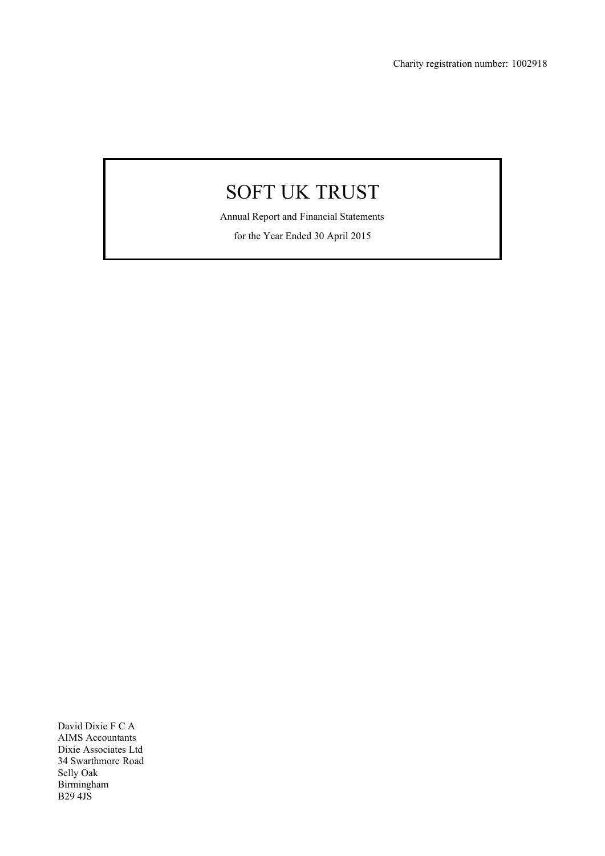Annual Report and Financial Statements

for the Year Ended 30 April 2015

David Dixie F C A AIMS Accountants Dixie Associates Ltd 34 Swarthmore Road Selly Oak Birmingham B29 4JS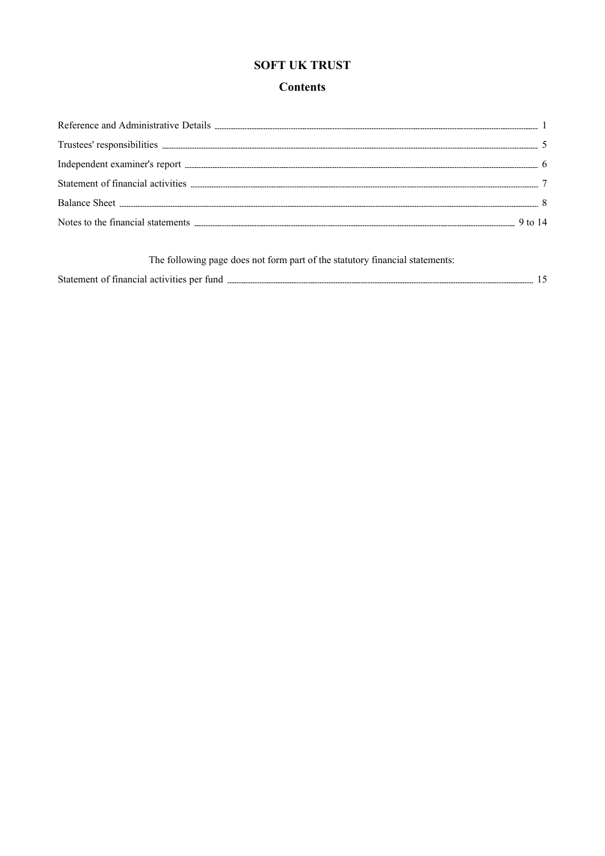# **Contents**

| The following page does not form part of the statutory financial statements: |  |
|------------------------------------------------------------------------------|--|
| Statement of financial activities per fund.                                  |  |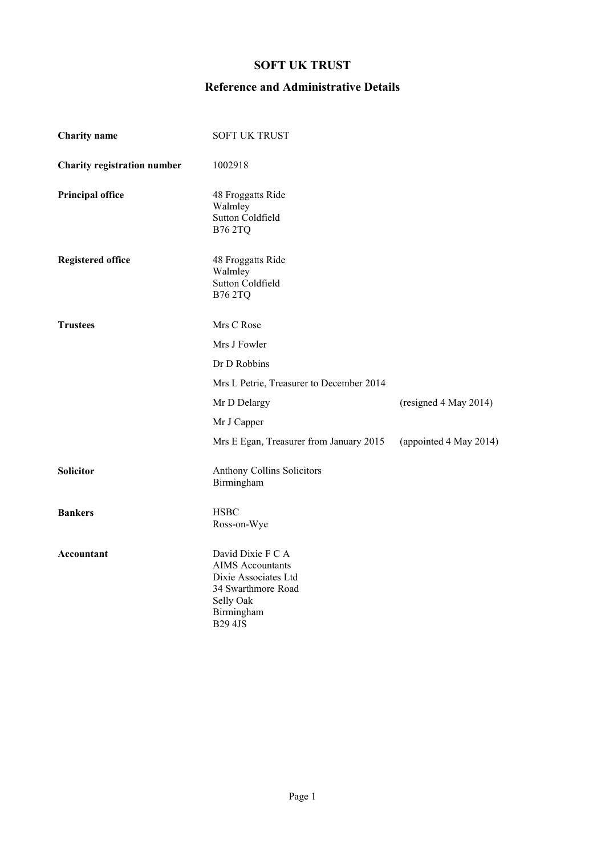# **Reference and Administrative Details**

| <b>Charity</b> name                | <b>SOFT UK TRUST</b>                                                                                                                    |                        |
|------------------------------------|-----------------------------------------------------------------------------------------------------------------------------------------|------------------------|
| <b>Charity registration number</b> | 1002918                                                                                                                                 |                        |
| <b>Principal office</b>            | 48 Froggatts Ride<br>Walmley<br>Sutton Coldfield<br><b>B762TQ</b>                                                                       |                        |
| <b>Registered office</b>           | 48 Froggatts Ride<br>Walmley<br>Sutton Coldfield<br><b>B762TQ</b>                                                                       |                        |
| <b>Trustees</b>                    | Mrs C Rose                                                                                                                              |                        |
|                                    | Mrs J Fowler                                                                                                                            |                        |
|                                    | Dr D Robbins                                                                                                                            |                        |
|                                    | Mrs L Petrie, Treasurer to December 2014                                                                                                |                        |
|                                    | Mr D Delargy                                                                                                                            | (resigned 4 May 2014)  |
|                                    | Mr J Capper                                                                                                                             |                        |
|                                    | Mrs E Egan, Treasurer from January 2015                                                                                                 | (appointed 4 May 2014) |
| <b>Solicitor</b>                   | Anthony Collins Solicitors<br>Birmingham                                                                                                |                        |
| <b>Bankers</b>                     | <b>HSBC</b><br>Ross-on-Wye                                                                                                              |                        |
| Accountant                         | David Dixie F C A<br><b>AIMS</b> Accountants<br>Dixie Associates Ltd<br>34 Swarthmore Road<br>Selly Oak<br>Birmingham<br><b>B29 4JS</b> |                        |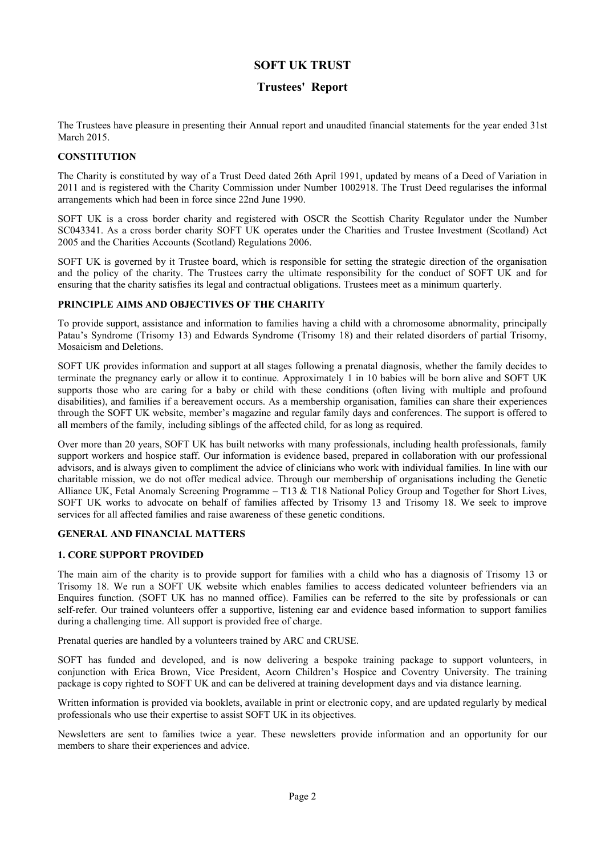### **Trustees' Report**

The Trustees have pleasure in presenting their Annual report and unaudited financial statements for the year ended 31st March 2015.

### **CONSTITUTION**

The Charity is constituted by way of a Trust Deed dated 26th April 1991, updated by means of a Deed of Variation in 2011 and is registered with the Charity Commission under Number 1002918. The Trust Deed regularises the informal arrangements which had been in force since 22nd June 1990.

SOFT UK is a cross border charity and registered with OSCR the Scottish Charity Regulator under the Number SC043341. As a cross border charity SOFT UK operates under the Charities and Trustee Investment (Scotland) Act 2005 and the Charities Accounts (Scotland) Regulations 2006.

SOFT UK is governed by it Trustee board, which is responsible for setting the strategic direction of the organisation and the policy of the charity. The Trustees carry the ultimate responsibility for the conduct of SOFT UK and for ensuring that the charity satisfies its legal and contractual obligations. Trustees meet as a minimum quarterly.

### **PRINCIPLE AIMS AND OBJECTIVES OF THE CHARITY**

To provide support, assistance and information to families having a child with a chromosome abnormality, principally Patau's Syndrome (Trisomy 13) and Edwards Syndrome (Trisomy 18) and their related disorders of partial Trisomy, Mosaicism and Deletions.

SOFT UK provides information and support at all stages following a prenatal diagnosis, whether the family decides to terminate the pregnancy early or allow it to continue. Approximately 1 in 10 babies will be born alive and SOFT UK supports those who are caring for a baby or child with these conditions (often living with multiple and profound disabilities), and families if a bereavement occurs. As a membership organisation, families can share their experiences through the SOFT UK website, member's magazine and regular family days and conferences. The support is offered to all members of the family, including siblings of the affected child, for as long as required.

Over more than 20 years, SOFT UK has built networks with many professionals, including health professionals, family support workers and hospice staff. Our information is evidence based, prepared in collaboration with our professional advisors, and is always given to compliment the advice of clinicians who work with individual families. In line with our charitable mission, we do not offer medical advice. Through our membership of organisations including the Genetic Alliance UK, Fetal Anomaly Screening Programme – T13 & T18 National Policy Group and Together for Short Lives, SOFT UK works to advocate on behalf of families affected by Trisomy 13 and Trisomy 18. We seek to improve services for all affected families and raise awareness of these genetic conditions.

#### **GENERAL AND FINANCIAL MATTERS**

#### **1. CORE SUPPORT PROVIDED**

The main aim of the charity is to provide support for families with a child who has a diagnosis of Trisomy 13 or Trisomy 18. We run a SOFT UK website which enables families to access dedicated volunteer befrienders via an Enquires function. (SOFT UK has no manned office). Families can be referred to the site by professionals or can self-refer. Our trained volunteers offer a supportive, listening ear and evidence based information to support families during a challenging time. All support is provided free of charge.

Prenatal queries are handled by a volunteers trained by ARC and CRUSE.

SOFT has funded and developed, and is now delivering a bespoke training package to support volunteers, in conjunction with Erica Brown, Vice President, Acorn Children's Hospice and Coventry University. The training package is copy righted to SOFT UK and can be delivered at training development days and via distance learning.

Written information is provided via booklets, available in print or electronic copy, and are updated regularly by medical professionals who use their expertise to assist SOFT UK in its objectives.

Newsletters are sent to families twice a year. These newsletters provide information and an opportunity for our members to share their experiences and advice.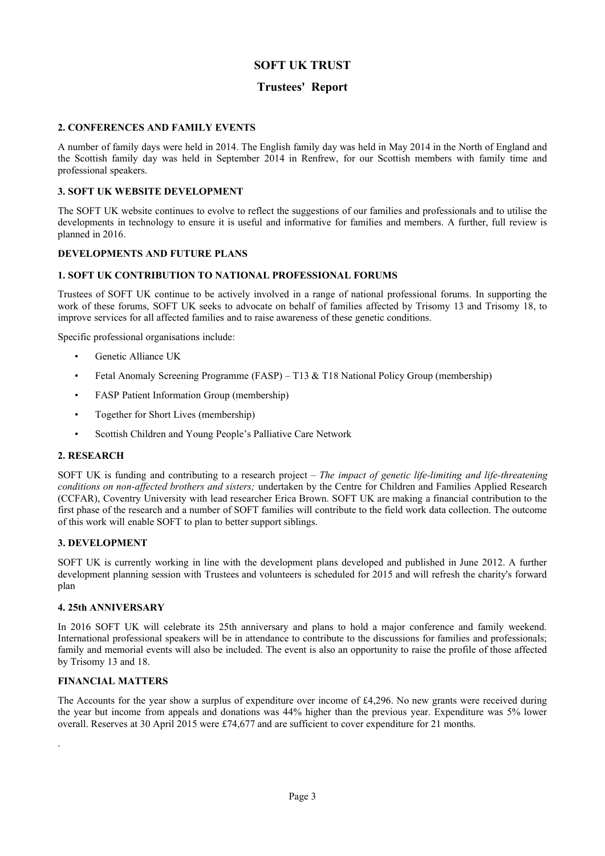### **Trustees' Report**

### **2. CONFERENCES AND FAMILY EVENTS**

A number of family days were held in 2014. The English family day was held in May 2014 in the North of England and the Scottish family day was held in September 2014 in Renfrew, for our Scottish members with family time and professional speakers.

### **3. SOFT UK WEBSITE DEVELOPMENT**

The SOFT UK website continues to evolve to reflect the suggestions of our families and professionals and to utilise the developments in technology to ensure it is useful and informative for families and members. A further, full review is planned in 2016.

### **DEVELOPMENTS AND FUTURE PLANS**

### **1. SOFT UK CONTRIBUTION TO NATIONAL PROFESSIONAL FORUMS**

Trustees of SOFT UK continue to be actively involved in a range of national professional forums. In supporting the work of these forums, SOFT UK seeks to advocate on behalf of families affected by Trisomy 13 and Trisomy 18, to improve services for all affected families and to raise awareness of these genetic conditions.

Specific professional organisations include:

- Genetic Alliance UK
- Fetal Anomaly Screening Programme (FASP) T13 & T18 National Policy Group (membership)
- FASP Patient Information Group (membership)
- Together for Short Lives (membership)
- Scottish Children and Young People's Palliative Care Network

#### **2. RESEARCH**

SOFT UK is funding and contributing to a research project – *The impact of genetic life-limiting and life-threatening conditions on non-affected brothers and sisters;* undertaken by the Centre for Children and Families Applied Research (CCFAR), Coventry University with lead researcher Erica Brown. SOFT UK are making a financial contribution to the first phase of the research and a number of SOFT families will contribute to the field work data collection. The outcome of this work will enable SOFT to plan to better support siblings.

#### **3. DEVELOPMENT**

SOFT UK is currently working in line with the development plans developed and published in June 2012. A further development planning session with Trustees and volunteers is scheduled for 2015 and will refresh the charity's forward plan

#### **4. 25th ANNIVERSARY**

In 2016 SOFT UK will celebrate its 25th anniversary and plans to hold a major conference and family weekend. International professional speakers will be in attendance to contribute to the discussions for families and professionals; family and memorial events will also be included. The event is also an opportunity to raise the profile of those affected by Trisomy 13 and 18.

#### **FINANCIAL MATTERS**

.

The Accounts for the year show a surplus of expenditure over income of £4,296. No new grants were received during the year but income from appeals and donations was 44% higher than the previous year. Expenditure was 5% lower overall. Reserves at 30 April 2015 were £74,677 and are sufficient to cover expenditure for 21 months.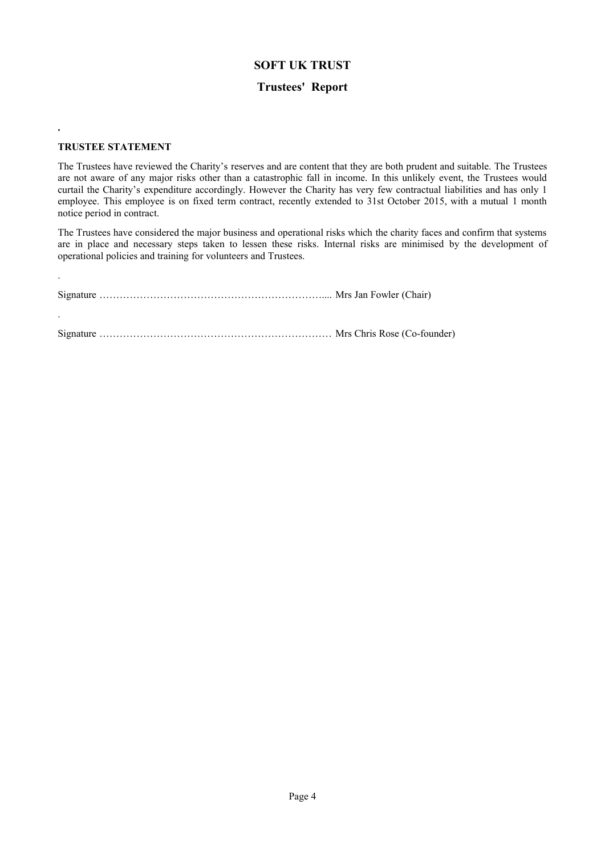### **Trustees' Report**

### **TRUSTEE STATEMENT**

**.**

.

The Trustees have reviewed the Charity's reserves and are content that they are both prudent and suitable. The Trustees are not aware of any major risks other than a catastrophic fall in income. In this unlikely event, the Trustees would curtail the Charity's expenditure accordingly. However the Charity has very few contractual liabilities and has only 1 employee. This employee is on fixed term contract, recently extended to 31st October 2015, with a mutual 1 month notice period in contract.

The Trustees have considered the major business and operational risks which the charity faces and confirm that systems are in place and necessary steps taken to lessen these risks. Internal risks are minimised by the development of operational policies and training for volunteers and Trustees.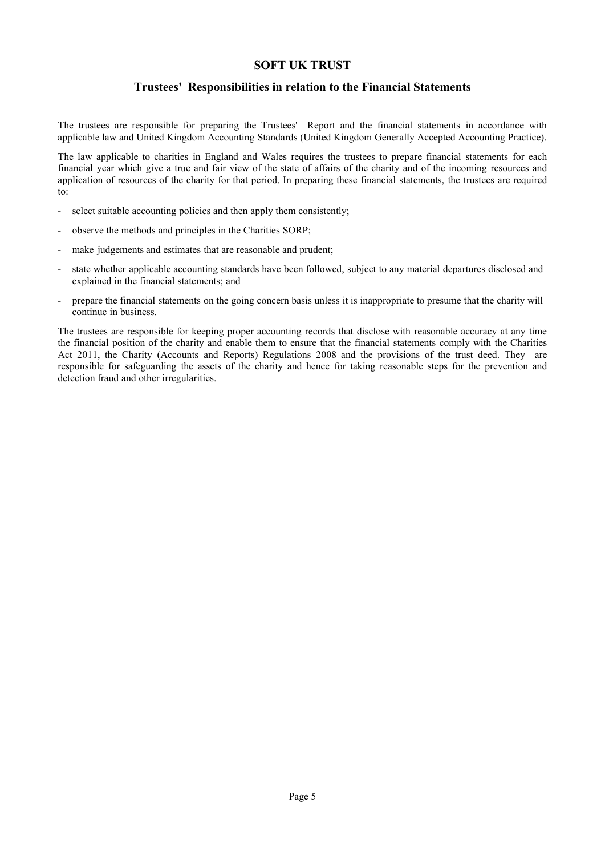### **Trustees' Responsibilities in relation to the Financial Statements**

The trustees are responsible for preparing the Trustees' Report and the financial statements in accordance with applicable law and United Kingdom Accounting Standards (United Kingdom Generally Accepted Accounting Practice).

The law applicable to charities in England and Wales requires the trustees to prepare financial statements for each financial year which give a true and fair view of the state of affairs of the charity and of the incoming resources and application of resources of the charity for that period. In preparing these financial statements, the trustees are required to:

- select suitable accounting policies and then apply them consistently;
- observe the methods and principles in the Charities SORP;
- make judgements and estimates that are reasonable and prudent;
- state whether applicable accounting standards have been followed, subject to any material departures disclosed and explained in the financial statements; and
- prepare the financial statements on the going concern basis unless it is inappropriate to presume that the charity will continue in business.

The trustees are responsible for keeping proper accounting records that disclose with reasonable accuracy at any time the financial position of the charity and enable them to ensure that the financial statements comply with the Charities Act 2011, the Charity (Accounts and Reports) Regulations 2008 and the provisions of the trust deed. They are responsible for safeguarding the assets of the charity and hence for taking reasonable steps for the prevention and detection fraud and other irregularities.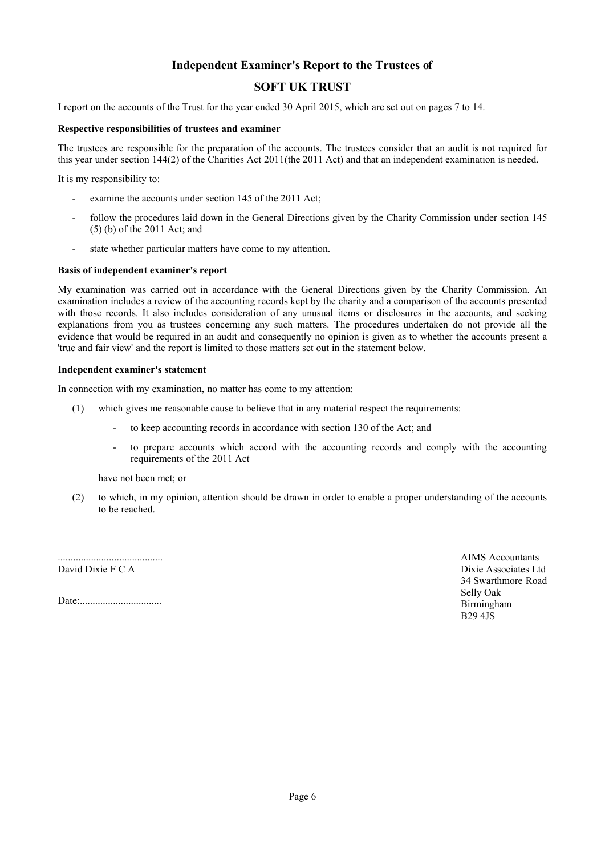# **Independent Examiner's Report to the Trustees of**

# **SOFT UK TRUST**

I report on the accounts of the Trust for the year ended 30 April 2015, which are set out on pages 7 to 14.

#### **Respective responsibilities of trustees and examiner**

The trustees are responsible for the preparation of the accounts. The trustees consider that an audit is not required for this year under section  $144(2)$  of the Charities Act  $2011$  (the  $2011$  Act) and that an independent examination is needed.

It is my responsibility to:

- examine the accounts under section 145 of the 2011 Act;
- follow the procedures laid down in the General Directions given by the Charity Commission under section 145 (5) (b) of the 2011 Act; and
- state whether particular matters have come to my attention.

#### **Basis of independent examiner's report**

My examination was carried out in accordance with the General Directions given by the Charity Commission. An examination includes a review of the accounting records kept by the charity and a comparison of the accounts presented with those records. It also includes consideration of any unusual items or disclosures in the accounts, and seeking explanations from you as trustees concerning any such matters. The procedures undertaken do not provide all the evidence that would be required in an audit and consequently no opinion is given as to whether the accounts present a 'true and fair view' and the report is limited to those matters set out in the statement below.

#### **Independent examiner's statement**

In connection with my examination, no matter has come to my attention:

- (1) which gives me reasonable cause to believe that in any material respect the requirements:
	- to keep accounting records in accordance with section 130 of the Act; and
	- to prepare accounts which accord with the accounting records and comply with the accounting requirements of the 2011 Act

have not been met; or

(2) to which, in my opinion, attention should be drawn in order to enable a proper understanding of the accounts to be reached.

......................................... David Dixie F C A

Date:................................

AIMS Accountants Dixie Associates Ltd 34 Swarthmore Road Selly Oak Birmingham B29 4JS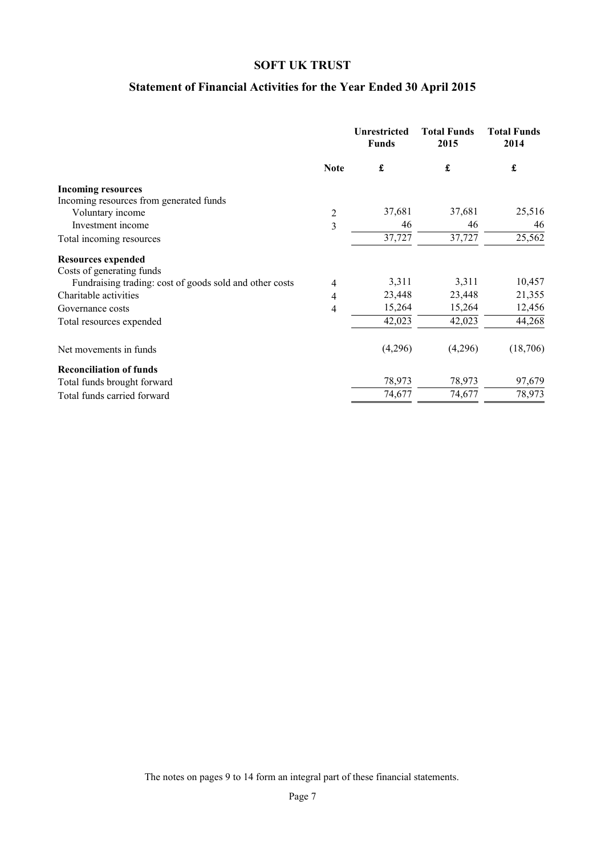# **Statement of Financial Activities for the Year Ended 30 April 2015**

|                                                         |                | <b>Unrestricted</b><br><b>Funds</b> | <b>Total Funds</b><br>2015 | <b>Total Funds</b><br>2014 |
|---------------------------------------------------------|----------------|-------------------------------------|----------------------------|----------------------------|
|                                                         | <b>Note</b>    | $\pmb{\mathfrak{L}}$                | $\pmb{\mathfrak{L}}$       | £                          |
| <b>Incoming resources</b>                               |                |                                     |                            |                            |
| Incoming resources from generated funds                 |                |                                     |                            |                            |
| Voluntary income                                        | $\overline{c}$ | 37,681                              | 37,681                     | 25,516                     |
| Investment income                                       | 3              | 46                                  | 46                         | 46                         |
| Total incoming resources                                |                | 37,727                              | 37,727                     | 25,562                     |
| <b>Resources expended</b>                               |                |                                     |                            |                            |
| Costs of generating funds                               |                | 3,311                               | 3,311                      | 10,457                     |
| Fundraising trading: cost of goods sold and other costs | 4              | 23,448                              | 23,448                     | 21,355                     |
| Charitable activities                                   | 4              |                                     |                            |                            |
| Governance costs                                        | 4              | 15,264                              | 15,264                     | 12,456                     |
| Total resources expended                                |                | 42,023                              | 42,023                     | 44,268                     |
| Net movements in funds                                  |                | (4,296)                             | (4,296)                    | (18,706)                   |
| <b>Reconciliation of funds</b>                          |                |                                     |                            |                            |
| Total funds brought forward                             |                | 78,973                              | 78,973                     | 97,679                     |
| Total funds carried forward                             |                | 74,677                              | 74,677                     | 78,973                     |

The notes on pages 9 to 14 form an integral part of these financial statements.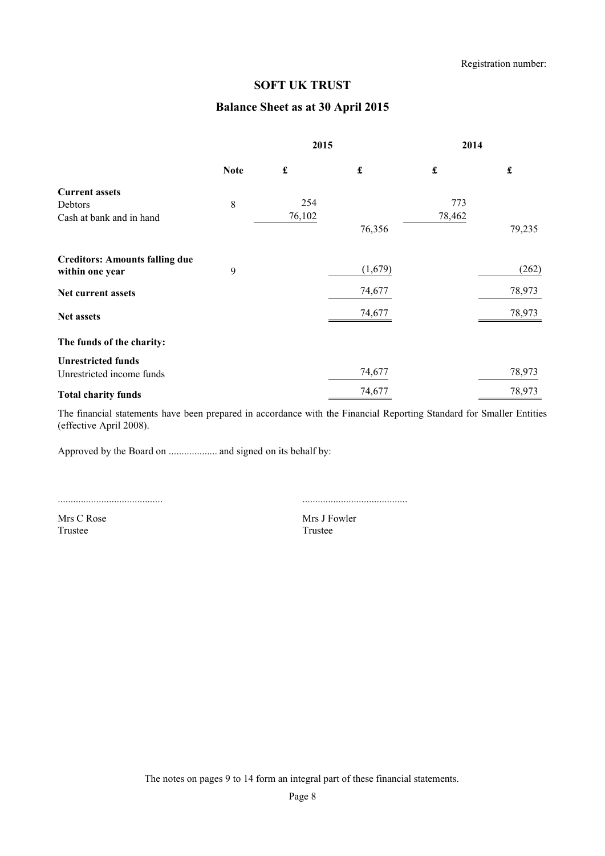# **Balance Sheet as at 30 April 2015**

|                                       |             | 2015                 |                      | 2014                 |                      |
|---------------------------------------|-------------|----------------------|----------------------|----------------------|----------------------|
|                                       | <b>Note</b> | $\pmb{\mathfrak{L}}$ | $\pmb{\mathfrak{L}}$ | $\pmb{\mathfrak{L}}$ | $\pmb{\mathfrak{t}}$ |
| <b>Current assets</b>                 |             |                      |                      |                      |                      |
| Debtors                               | $\,8\,$     | 254                  |                      | 773                  |                      |
| Cash at bank and in hand              |             | 76,102               |                      | 78,462               |                      |
|                                       |             |                      | 76,356               |                      | 79,235               |
| <b>Creditors: Amounts falling due</b> |             |                      |                      |                      |                      |
| within one year                       | 9           |                      | (1,679)              |                      | (262)                |
| Net current assets                    |             |                      | 74,677               |                      | 78,973               |
| Net assets                            |             |                      | 74,677               |                      | 78,973               |
| The funds of the charity:             |             |                      |                      |                      |                      |
| <b>Unrestricted funds</b>             |             |                      |                      |                      |                      |
| Unrestricted income funds             |             |                      | 74,677               |                      | 78,973               |
| <b>Total charity funds</b>            |             |                      | 74,677               |                      | 78,973               |

The financial statements have been prepared in accordance with the Financial Reporting Standard for Smaller Entities (effective April 2008).

Approved by the Board on ................... and signed on its behalf by:

.........................................

.........................................

Mrs C Rose Trustee

Mrs J Fowler Trustee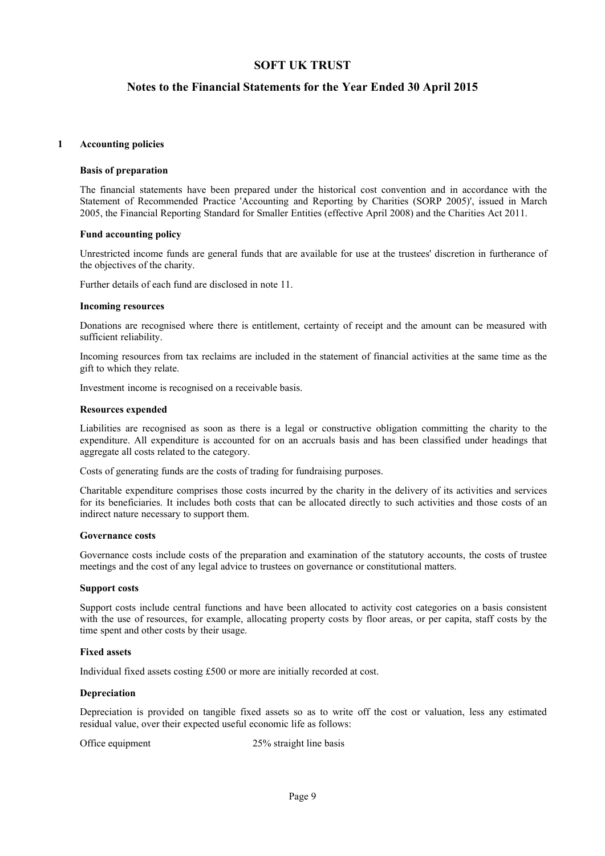### **Notes to the Financial Statements for the Year Ended 30 April 2015**

#### **1 Accounting policies**

#### **Basis of preparation**

The financial statements have been prepared under the historical cost convention and in accordance with the Statement of Recommended Practice 'Accounting and Reporting by Charities (SORP 2005)', issued in March 2005, the Financial Reporting Standard for Smaller Entities (effective April 2008) and the Charities Act 2011.

#### **Fund accounting policy**

Unrestricted income funds are general funds that are available for use at the trustees' discretion in furtherance of the objectives of the charity.

Further details of each fund are disclosed in note 11.

#### **Incoming resources**

Donations are recognised where there is entitlement, certainty of receipt and the amount can be measured with sufficient reliability.

Incoming resources from tax reclaims are included in the statement of financial activities at the same time as the gift to which they relate.

Investment income is recognised on a receivable basis.

#### **Resources expended**

Liabilities are recognised as soon as there is a legal or constructive obligation committing the charity to the expenditure. All expenditure is accounted for on an accruals basis and has been classified under headings that aggregate all costs related to the category.

Costs of generating funds are the costs of trading for fundraising purposes.

Charitable expenditure comprises those costs incurred by the charity in the delivery of its activities and services for its beneficiaries. It includes both costs that can be allocated directly to such activities and those costs of an indirect nature necessary to support them.

#### **Governance costs**

Governance costs include costs of the preparation and examination of the statutory accounts, the costs of trustee meetings and the cost of any legal advice to trustees on governance or constitutional matters.

#### **Support costs**

Support costs include central functions and have been allocated to activity cost categories on a basis consistent with the use of resources, for example, allocating property costs by floor areas, or per capita, staff costs by the time spent and other costs by their usage.

#### **Fixed assets**

Individual fixed assets costing £500 or more are initially recorded at cost.

#### **Depreciation**

Depreciation is provided on tangible fixed assets so as to write off the cost or valuation, less any estimated residual value, over their expected useful economic life as follows:

Office equipment 25% straight line basis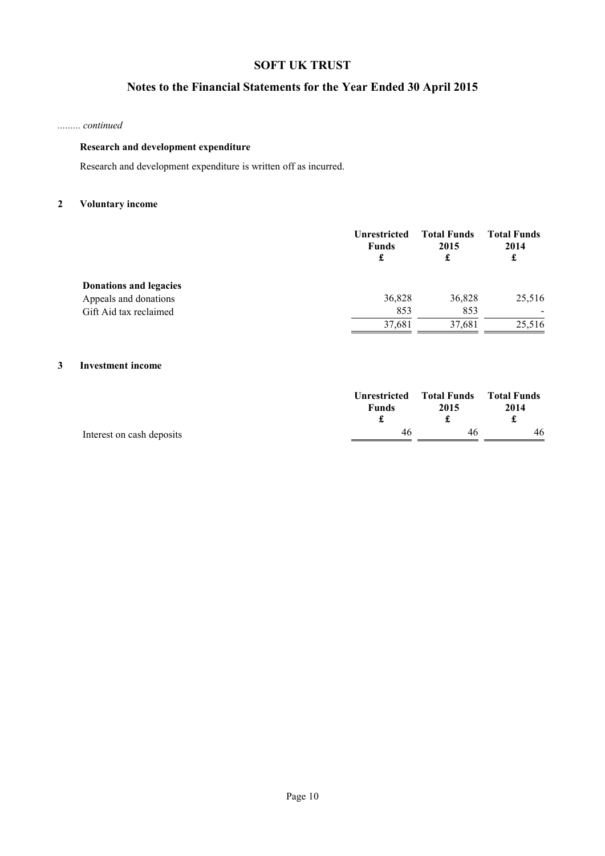# **Notes to the Financial Statements for the Year Ended 30 April 2015**

#### *......... continued*

### **Research and development expenditure**

Research and development expenditure is written off as incurred.

### **2 Voluntary income**

|                        | <b>Unrestricted</b><br><b>Funds</b><br>£ | <b>Total Funds</b><br>2015 | <b>Total Funds</b><br>2014<br>£ |
|------------------------|------------------------------------------|----------------------------|---------------------------------|
| Donations and legacies |                                          |                            |                                 |
| Appeals and donations  | 36,828                                   | 36,828                     | 25,516                          |
| Gift Aid tax reclaimed | 853                                      | 853                        | $\overline{\phantom{0}}$        |
|                        | 37,681                                   | 37,681                     | 25,516                          |

### **3 Investment income**

|                           | <b>Funds</b> | Unrestricted Total Funds Total Funds<br>2015 | 2014 |
|---------------------------|--------------|----------------------------------------------|------|
| Interest on cash deposits | 46           | 46                                           | 46   |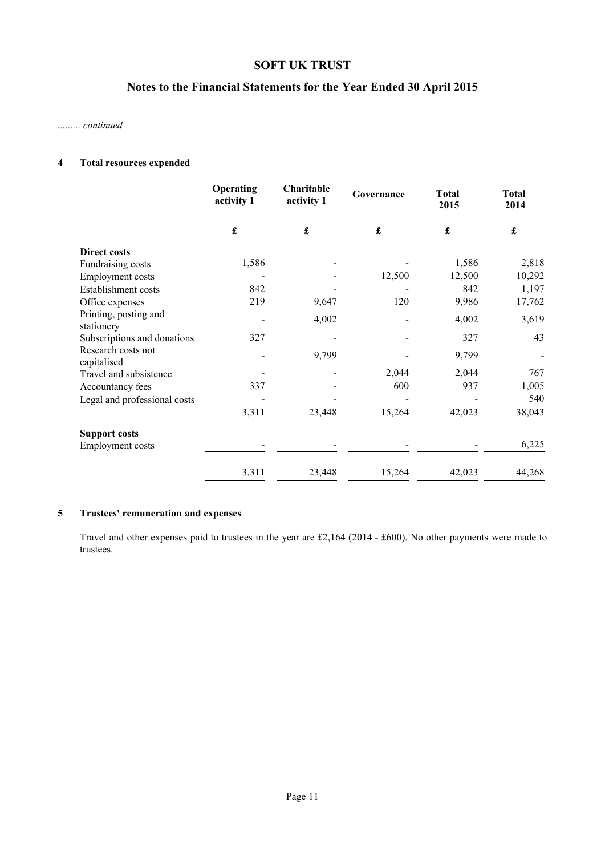# **Notes to the Financial Statements for the Year Ended 30 April 2015**

#### *......... continued*

### **4 Total resources expended**

|                                     | Operating<br>activity 1 | Charitable<br>activity 1 | Governance           | <b>Total</b><br>2015 | <b>Total</b><br>2014 |
|-------------------------------------|-------------------------|--------------------------|----------------------|----------------------|----------------------|
|                                     | $\pmb{\mathfrak{L}}$    | $\pmb{\mathfrak{L}}$     | $\pmb{\mathfrak{L}}$ | $\pmb{\mathfrak{L}}$ | £                    |
| <b>Direct costs</b>                 |                         |                          |                      |                      |                      |
| Fundraising costs                   | 1,586                   |                          |                      | 1,586                | 2,818                |
| <b>Employment</b> costs             |                         |                          | 12,500               | 12,500               | 10,292               |
| Establishment costs                 | 842                     |                          |                      | 842                  | 1,197                |
| Office expenses                     | 219                     | 9,647                    | 120                  | 9,986                | 17,762               |
| Printing, posting and<br>stationery |                         | 4,002                    |                      | 4,002                | 3,619                |
| Subscriptions and donations         | 327                     |                          |                      | 327                  | 43                   |
| Research costs not<br>capitalised   |                         | 9,799                    |                      | 9,799                |                      |
| Travel and subsistence              |                         |                          | 2,044                | 2,044                | 767                  |
| Accountancy fees                    | 337                     |                          | 600                  | 937                  | 1,005                |
| Legal and professional costs        |                         |                          |                      |                      | 540                  |
|                                     | 3,311                   | 23,448                   | 15,264               | 42,023               | 38,043               |
| <b>Support costs</b>                |                         |                          |                      |                      |                      |
| <b>Employment costs</b>             |                         |                          |                      |                      | 6,225                |
|                                     | 3,311                   | 23,448                   | 15,264               | 42,023               | 44,268               |

### **5 Trustees' remuneration and expenses**

Travel and other expenses paid to trustees in the year are £2,164 (2014 - £600). No other payments were made to trustees.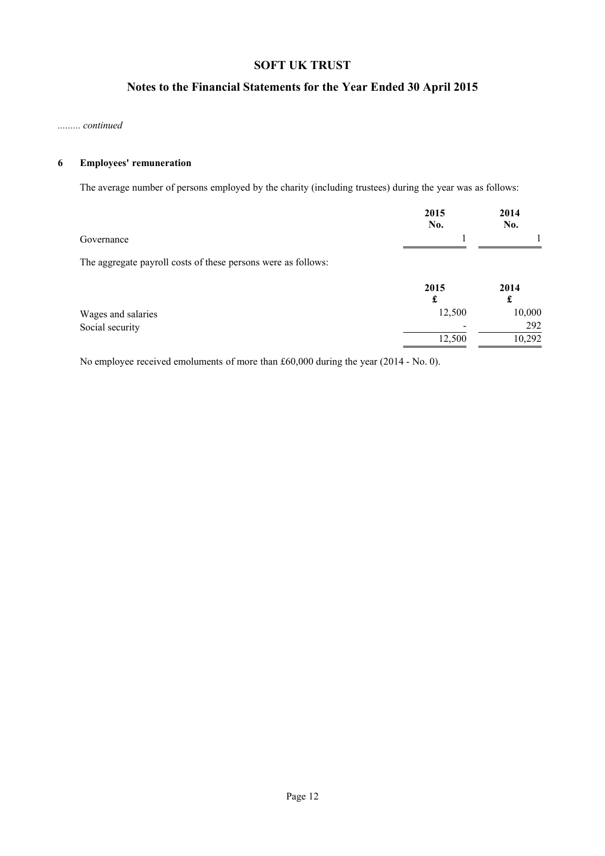# **Notes to the Financial Statements for the Year Ended 30 April 2015**

#### *......... continued*

### **6 Employees' remuneration**

The average number of persons employed by the charity (including trustees) during the year was as follows:

|                                                               | 2015<br>No. | 2014<br>No. |
|---------------------------------------------------------------|-------------|-------------|
| Governance                                                    |             |             |
| The aggregate payroll costs of these persons were as follows: |             |             |
|                                                               | 2015        | $2014$      |

| 2015            | 2014   |
|-----------------|--------|
|                 | ہے     |
| 12.500          | 10,000 |
| $\qquad \qquad$ | 292    |
| 12.500          | 10,292 |
|                 |        |

No employee received emoluments of more than £60,000 during the year (2014 - No. 0).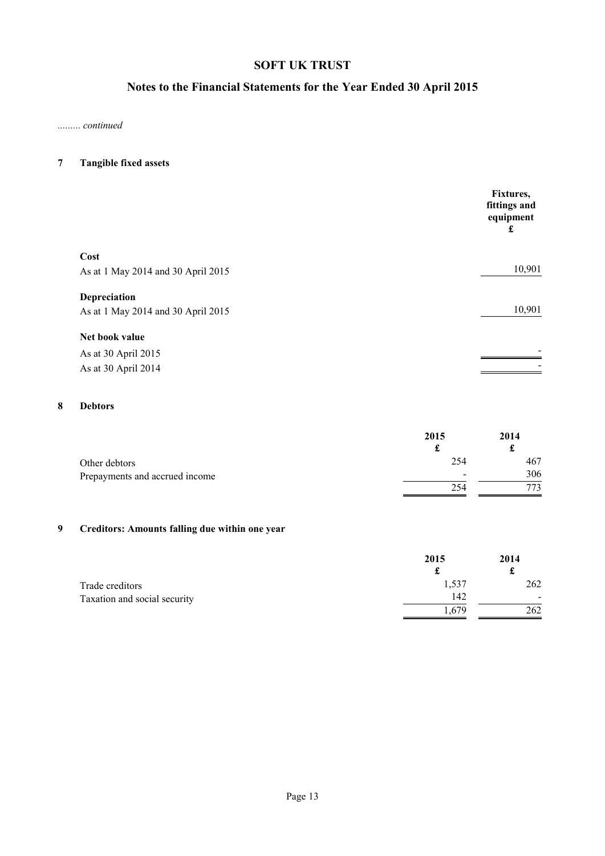# **Notes to the Financial Statements for the Year Ended 30 April 2015**

*......... continued*

### **7 Tangible fixed assets**

|                                    | Fixtures,<br>fittings and<br>equipment<br>£ |
|------------------------------------|---------------------------------------------|
| Cost                               |                                             |
| As at 1 May 2014 and 30 April 2015 | 10,901                                      |
| Depreciation                       |                                             |
| As at 1 May 2014 and 30 April 2015 | 10,901                                      |
| Net book value                     |                                             |
| As at 30 April 2015                |                                             |
| As at 30 April 2014                |                                             |

### **8 Debtors**

|                                | 2015           | 2014<br>£ |
|--------------------------------|----------------|-----------|
| Other debtors                  | 254            | 467       |
| Prepayments and accrued income | $\blacksquare$ | 306       |
|                                | 254            |           |

# **9 Creditors: Amounts falling due within one year**

|                              | 2015  | 2014 |
|------------------------------|-------|------|
| Trade creditors              | 1,537 | 262  |
| Taxation and social security | 142   |      |
|                              | .,679 | 262  |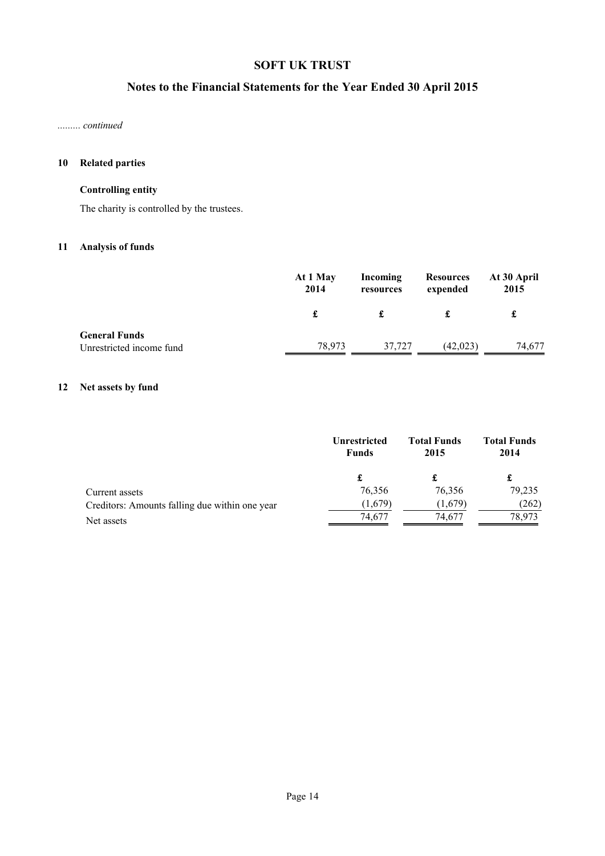# **Notes to the Financial Statements for the Year Ended 30 April 2015**

*......... continued*

### **10 Related parties**

### **Controlling entity**

The charity is controlled by the trustees.

### **11 Analysis of funds**

|                                                  | At 1 May<br>2014 | Incoming<br>resources | <b>Resources</b><br>expended | At 30 April<br>2015 |
|--------------------------------------------------|------------------|-----------------------|------------------------------|---------------------|
|                                                  | £                |                       |                              | £                   |
| <b>General Funds</b><br>Unrestricted income fund | 78,973           | 37,727                | (42, 023)                    | 74,677              |

# **12 Net assets by fund**

|                                                | <b>Unrestricted</b><br><b>Funds</b> | <b>Total Funds</b><br>2015 | <b>Total Funds</b><br>2014 |  |
|------------------------------------------------|-------------------------------------|----------------------------|----------------------------|--|
|                                                |                                     | £                          | £                          |  |
| Current assets                                 | 76,356                              | 76,356                     | 79,235                     |  |
| Creditors: Amounts falling due within one year | (1,679)                             | (1,679)                    | (262)                      |  |
| Net assets                                     | 74,677                              | 74,677                     | 78.973                     |  |